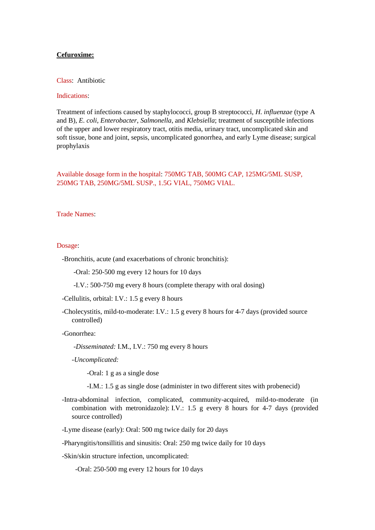# **Cefuroxime:**

### Class: Antibiotic

## Indications:

Treatment of infections caused by staphylococci, group B streptococci, *H. influenzae* (type A and B), *E. coli*, *Enterobacter*, *Salmonella*, and *Klebsiella*; treatment of susceptible infections of the upper and lower respiratory tract, otitis media, urinary tract, uncomplicated skin and soft tissue, bone and joint, sepsis, uncomplicated gonorrhea, and early Lyme disease; surgical prophylaxis

Available dosage form in the hospital: 750MG TAB, 500MG CAP, 125MG/5ML SUSP, 250MG TAB, 250MG/5ML SUSP., 1.5G VIAL, 750MG VIAL.

Trade Names:

## Dosage:

- -Bronchitis, acute (and exacerbations of chronic bronchitis):
	- -Oral: 250-500 mg every 12 hours for 10 days
	- -I.V.: 500-750 mg every 8 hours (complete therapy with oral dosing)
- -Cellulitis, orbital: I.V.: 1.5 g every 8 hours
- -Cholecystitis, mild-to-moderate: I.V.: 1.5 g every 8 hours for 4-7 days (provided source controlled)

#### -Gonorrhea:

- *-Disseminated:* I.M., I.V.: 750 mg every 8 hours
- *-Uncomplicated:*

-Oral: 1 g as a single dose

- -I.M.: 1.5 g as single dose (administer in two different sites with probenecid)
- -Intra-abdominal infection, complicated, community-acquired, mild-to-moderate (in combination with metronidazole): I.V.: 1.5 g every 8 hours for 4-7 days (provided source controlled)
- -Lyme disease (early): Oral: 500 mg twice daily for 20 days
- -Pharyngitis/tonsillitis and sinusitis: Oral: 250 mg twice daily for 10 days
- -Skin/skin structure infection, uncomplicated:

-Oral: 250-500 mg every 12 hours for 10 days